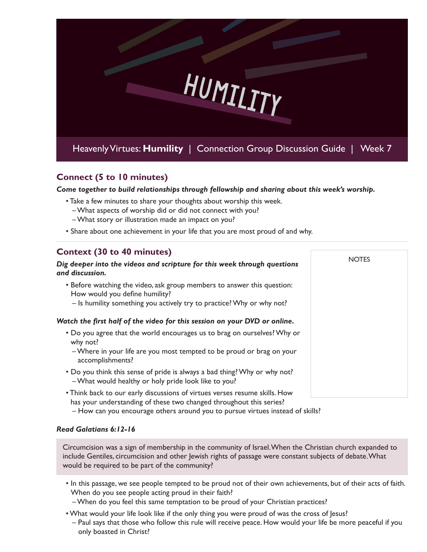

## **Connect (5 to 10 minutes)**

*Come together to build relationships through fellowship and sharing about this week's worship.* 

**NOTES** 

- Take a few minutes to share your thoughts about worship this week.
	- What aspects of worship did or did not connect with you?
	- What story or illustration made an impact on you?
- Share about one achievement in your life that you are most proud of and why.

## **Context (30 to 40 minutes)**

#### *Dig deeper into the videos and scripture for this week through questions and discussion.*

- Before watching the video, ask group members to answer this question: How would you define humility?
	- Is humility something you actively try to practice? Why or why not?

#### *Watch the first half of the video for this session on your DVD or online.*

- Do you agree that the world encourages us to brag on ourselves? Why or why not?
	- Where in your life are you most tempted to be proud or brag on your accomplishments?
- Do you think this sense of pride is always a bad thing? Why or why not? – What would healthy or holy pride look like to you?
- Think back to our early discussions of virtues verses resume skills. How has your understanding of these two changed throughout this series?
	- How can you encourage others around you to pursue virtues instead of skills?

### *Read Galatians 6:12-16*

Circumcision was a sign of membership in the community of Israel. When the Christian church expanded to include Gentiles, circumcision and other Jewish rights of passage were constant subjects of debate. What would be required to be part of the community?

- In this passage, we see people tempted to be proud not of their own achievements, but of their acts of faith. When do you see people acting proud in their faith?
- When do you feel this same temptation to be proud of your Christian practices?
- What would your life look like if the only thing you were proud of was the cross of Jesus?
	- Paul says that those who follow this rule will receive peace. How would your life be more peaceful if you only boasted in Christ?